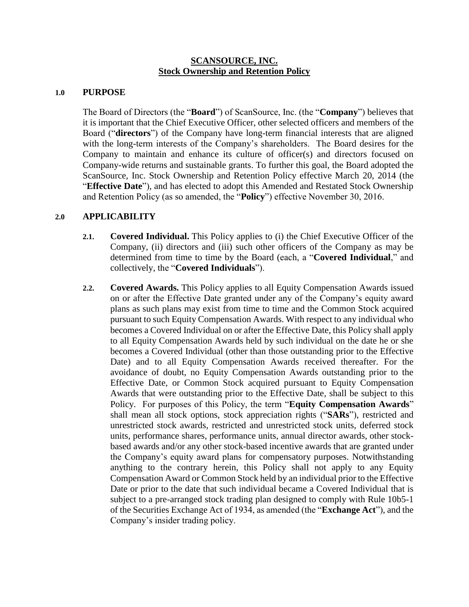# **SCANSOURCE, INC. Stock Ownership and Retention Policy**

#### **1.0 PURPOSE**

The Board of Directors (the "**Board**") of ScanSource, Inc. (the "**Company**") believes that it is important that the Chief Executive Officer, other selected officers and members of the Board ("**directors**") of the Company have long-term financial interests that are aligned with the long-term interests of the Company's shareholders. The Board desires for the Company to maintain and enhance its culture of officer(s) and directors focused on Company-wide returns and sustainable grants. To further this goal, the Board adopted the ScanSource, Inc. Stock Ownership and Retention Policy effective March 20, 2014 (the "**Effective Date**"), and has elected to adopt this Amended and Restated Stock Ownership and Retention Policy (as so amended, the "**Policy**") effective November 30, 2016.

# **2.0 APPLICABILITY**

- **2.1. Covered Individual.** This Policy applies to (i) the Chief Executive Officer of the Company, (ii) directors and (iii) such other officers of the Company as may be determined from time to time by the Board (each, a "**Covered Individual**," and collectively, the "**Covered Individuals**").
- **2.2. Covered Awards.** This Policy applies to all Equity Compensation Awards issued on or after the Effective Date granted under any of the Company's equity award plans as such plans may exist from time to time and the Common Stock acquired pursuant to such Equity Compensation Awards. With respect to any individual who becomes a Covered Individual on or after the Effective Date, this Policy shall apply to all Equity Compensation Awards held by such individual on the date he or she becomes a Covered Individual (other than those outstanding prior to the Effective Date) and to all Equity Compensation Awards received thereafter. For the avoidance of doubt, no Equity Compensation Awards outstanding prior to the Effective Date, or Common Stock acquired pursuant to Equity Compensation Awards that were outstanding prior to the Effective Date, shall be subject to this Policy. For purposes of this Policy, the term "**Equity Compensation Awards**" shall mean all stock options, stock appreciation rights ("**SARs**"), restricted and unrestricted stock awards, restricted and unrestricted stock units, deferred stock units, performance shares, performance units, annual director awards, other stockbased awards and/or any other stock-based incentive awards that are granted under the Company's equity award plans for compensatory purposes. Notwithstanding anything to the contrary herein, this Policy shall not apply to any Equity Compensation Award or Common Stock held by an individual prior to the Effective Date or prior to the date that such individual became a Covered Individual that is subject to a pre-arranged stock trading plan designed to comply with Rule 10b5-1 of the Securities Exchange Act of 1934, as amended (the "**Exchange Act**"), and the Company's insider trading policy.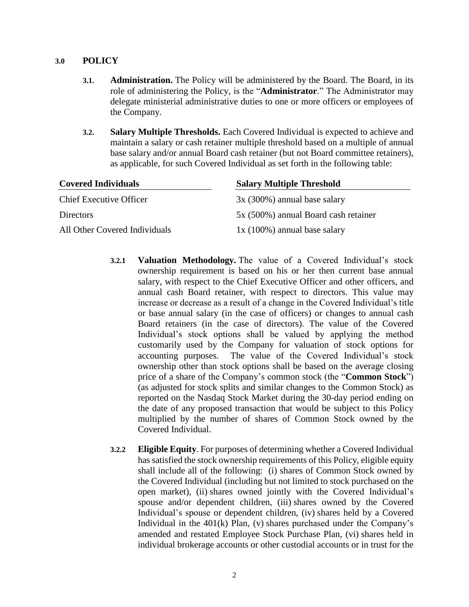#### **3.0 POLICY**

- **3.1. Administration.** The Policy will be administered by the Board. The Board, in its role of administering the Policy, is the "**Administrator**." The Administrator may delegate ministerial administrative duties to one or more officers or employees of the Company.
- **3.2. Salary Multiple Thresholds.** Each Covered Individual is expected to achieve and maintain a salary or cash retainer multiple threshold based on a multiple of annual base salary and/or annual Board cash retainer (but not Board committee retainers), as applicable, for such Covered Individual as set forth in the following table:

| <b>Covered Individuals</b>     | <b>Salary Multiple Threshold</b>     |
|--------------------------------|--------------------------------------|
| <b>Chief Executive Officer</b> | $3x(300\%)$ annual base salary       |
| <b>Directors</b>               | 5x (500%) annual Board cash retainer |
| All Other Covered Individuals  | $1x(100\%)$ annual base salary       |

- **3.2.1 Valuation Methodology.** The value of a Covered Individual's stock ownership requirement is based on his or her then current base annual salary, with respect to the Chief Executive Officer and other officers, and annual cash Board retainer, with respect to directors. This value may increase or decrease as a result of a change in the Covered Individual's title or base annual salary (in the case of officers) or changes to annual cash Board retainers (in the case of directors). The value of the Covered Individual's stock options shall be valued by applying the method customarily used by the Company for valuation of stock options for accounting purposes. The value of the Covered Individual's stock ownership other than stock options shall be based on the average closing price of a share of the Company's common stock (the "**Common Stock**") (as adjusted for stock splits and similar changes to the Common Stock) as reported on the Nasdaq Stock Market during the 30-day period ending on the date of any proposed transaction that would be subject to this Policy multiplied by the number of shares of Common Stock owned by the Covered Individual.
- **3.2.2 Eligible Equity**. For purposes of determining whether a Covered Individual has satisfied the stock ownership requirements of this Policy, eligible equity shall include all of the following: (i) shares of Common Stock owned by the Covered Individual (including but not limited to stock purchased on the open market), (ii) shares owned jointly with the Covered Individual's spouse and/or dependent children, (iii) shares owned by the Covered Individual's spouse or dependent children, (iv) shares held by a Covered Individual in the 401(k) Plan, (v) shares purchased under the Company's amended and restated Employee Stock Purchase Plan, (vi) shares held in individual brokerage accounts or other custodial accounts or in trust for the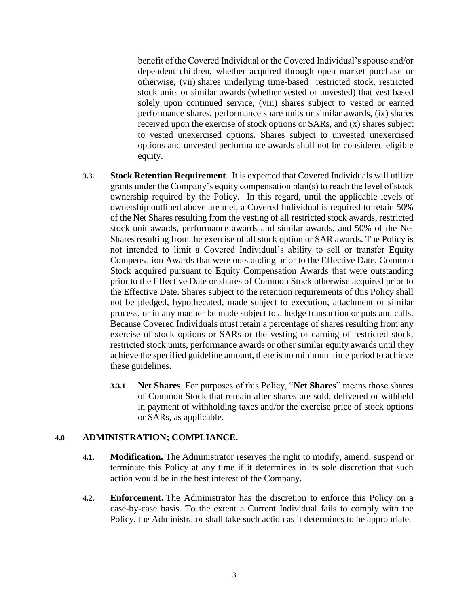benefit of the Covered Individual or the Covered Individual's spouse and/or dependent children, whether acquired through open market purchase or otherwise, (vii) shares underlying time-based restricted stock, restricted stock units or similar awards (whether vested or unvested) that vest based solely upon continued service, (viii) shares subject to vested or earned performance shares, performance share units or similar awards, (ix) shares received upon the exercise of stock options or SARs, and (x) shares subject to vested unexercised options. Shares subject to unvested unexercised options and unvested performance awards shall not be considered eligible equity.

- **3.3. Stock Retention Requirement**. It is expected that Covered Individuals will utilize grants under the Company's equity compensation plan(s) to reach the level of stock ownership required by the Policy. In this regard, until the applicable levels of ownership outlined above are met, a Covered Individual is required to retain 50% of the Net Shares resulting from the vesting of all restricted stock awards, restricted stock unit awards, performance awards and similar awards, and 50% of the Net Shares resulting from the exercise of all stock option or SAR awards. The Policy is not intended to limit a Covered Individual's ability to sell or transfer Equity Compensation Awards that were outstanding prior to the Effective Date, Common Stock acquired pursuant to Equity Compensation Awards that were outstanding prior to the Effective Date or shares of Common Stock otherwise acquired prior to the Effective Date. Shares subject to the retention requirements of this Policy shall not be pledged, hypothecated, made subject to execution, attachment or similar process, or in any manner be made subject to a hedge transaction or puts and calls. Because Covered Individuals must retain a percentage of shares resulting from any exercise of stock options or SARs or the vesting or earning of restricted stock, restricted stock units, performance awards or other similar equity awards until they achieve the specified guideline amount, there is no minimum time period to achieve these guidelines.
	- **3.3.1 Net Shares**. For purposes of this Policy, "**Net Shares**" means those shares of Common Stock that remain after shares are sold, delivered or withheld in payment of withholding taxes and/or the exercise price of stock options or SARs, as applicable.

# **4.0 ADMINISTRATION; COMPLIANCE.**

- **4.1. Modification.** The Administrator reserves the right to modify, amend, suspend or terminate this Policy at any time if it determines in its sole discretion that such action would be in the best interest of the Company.
- **4.2. Enforcement.** The Administrator has the discretion to enforce this Policy on a case-by-case basis. To the extent a Current Individual fails to comply with the Policy, the Administrator shall take such action as it determines to be appropriate.